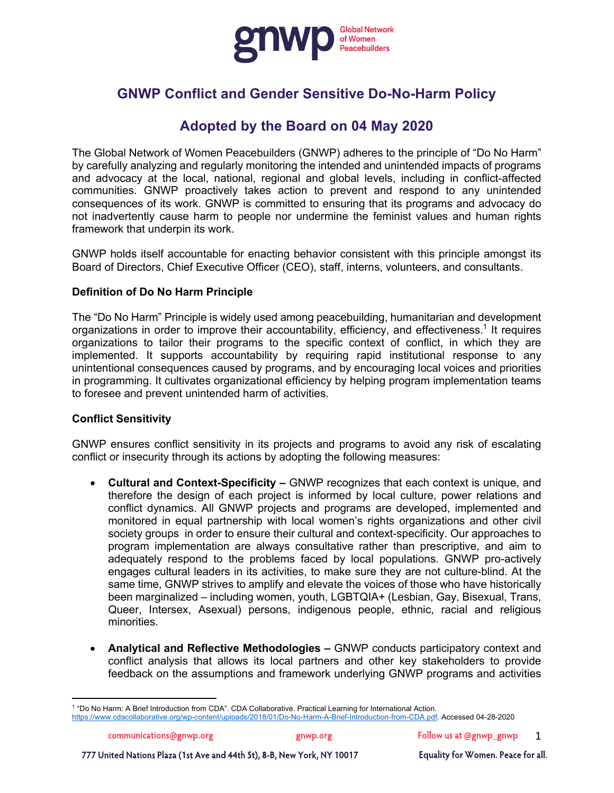

# **GNWP Conflict and Gender Sensitive Do-No-Harm Policy**

## **Adopted by the Board on 04 May 2020**

The Global Network of Women Peacebuilders (GNWP) adheres to the principle of "Do No Harm" by carefully analyzing and regularly monitoring the intended and unintended impacts of programs and advocacy at the local, national, regional and global levels, including in conflict-affected communities. GNWP proactively takes action to prevent and respond to any unintended consequences of its work. GNWP is committed to ensuring that its programs and advocacy do not inadvertently cause harm to people nor undermine the feminist values and human rights framework that underpin its work.

GNWP holds itself accountable for enacting behavior consistent with this principle amongst its Board of Directors, Chief Executive Officer (CEO), staff, interns, volunteers, and consultants.

## **Definition of Do No Harm Principle**

The "Do No Harm" Principle is widely used among peacebuilding, humanitarian and development organizations in order to improve their accountability, efficiency, and effectiveness. <sup>1</sup> It requires organizations to tailor their programs to the specific context of conflict, in which they are implemented. It supports accountability by requiring rapid institutional response to any unintentional consequences caused by programs, and by encouraging local voices and priorities in programming. It cultivates organizational efficiency by helping program implementation teams to foresee and prevent unintended harm of activities.

#### **Conflict Sensitivity**

GNWP ensures conflict sensitivity in its projects and programs to avoid any risk of escalating conflict or insecurity through its actions by adopting the following measures:

- **Cultural and Context-Specificity –** GNWP recognizes that each context is unique, and therefore the design of each project is informed by local culture, power relations and conflict dynamics. All GNWP projects and programs are developed, implemented and monitored in equal partnership with local women's rights organizations and other civil society groups in order to ensure their cultural and context-specificity. Our approaches to program implementation are always consultative rather than prescriptive, and aim to adequately respond to the problems faced by local populations. GNWP pro-actively engages cultural leaders in its activities, to make sure they are not culture-blind. At the same time, GNWP strives to amplify and elevate the voices of those who have historically been marginalized – including women, youth, LGBTQIA+ (Lesbian, Gay, Bisexual, Trans, Queer, Intersex, Asexual) persons, indigenous people, ethnic, racial and religious minorities.
- **Analytical and Reflective Methodologies –** GNWP conducts participatory context and conflict analysis that allows its local partners and other key stakeholders to provide feedback on the assumptions and framework underlying GNWP programs and activities

777 United Nations Plaza (1st Ave and 44th St), 8-B, New York, NY 10017

<sup>1</sup> "Do No Harm: A Brief Introduction from CDA". CDA Collaborative. Practical Learning for International Action. https://www.cdacollaborative.org/wp-content/uploads/2018/01/Do-No-Harm-A-Brief-Introduction-from-CDA.pdf. Accessed 04-28-2020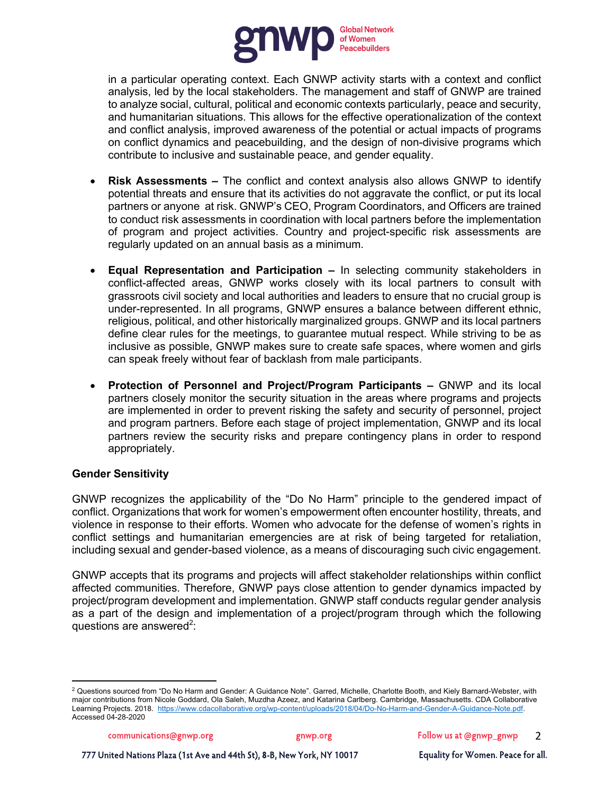

in a particular operating context. Each GNWP activity starts with a context and conflict analysis, led by the local stakeholders. The management and staff of GNWP are trained to analyze social, cultural, political and economic contexts particularly, peace and security, and humanitarian situations. This allows for the effective operationalization of the context and conflict analysis, improved awareness of the potential or actual impacts of programs on conflict dynamics and peacebuilding, and the design of non-divisive programs which contribute to inclusive and sustainable peace, and gender equality.

- **Risk Assessments –** The conflict and context analysis also allows GNWP to identify potential threats and ensure that its activities do not aggravate the conflict, or put its local partners or anyone at risk. GNWP's CEO, Program Coordinators, and Officers are trained to conduct risk assessments in coordination with local partners before the implementation of program and project activities. Country and project-specific risk assessments are regularly updated on an annual basis as a minimum.
- **Equal Representation and Participation –** In selecting community stakeholders in conflict-affected areas, GNWP works closely with its local partners to consult with grassroots civil society and local authorities and leaders to ensure that no crucial group is under-represented. In all programs, GNWP ensures a balance between different ethnic, religious, political, and other historically marginalized groups. GNWP and its local partners define clear rules for the meetings, to guarantee mutual respect. While striving to be as inclusive as possible, GNWP makes sure to create safe spaces, where women and girls can speak freely without fear of backlash from male participants.
- **Protection of Personnel and Project/Program Participants –** GNWP and its local partners closely monitor the security situation in the areas where programs and projects are implemented in order to prevent risking the safety and security of personnel, project and program partners. Before each stage of project implementation, GNWP and its local partners review the security risks and prepare contingency plans in order to respond appropriately.

## **Gender Sensitivity**

GNWP recognizes the applicability of the "Do No Harm" principle to the gendered impact of conflict. Organizations that work for women's empowerment often encounter hostility, threats, and violence in response to their efforts. Women who advocate for the defense of women's rights in conflict settings and humanitarian emergencies are at risk of being targeted for retaliation, including sexual and gender-based violence, as a means of discouraging such civic engagement.

GNWP accepts that its programs and projects will affect stakeholder relationships within conflict affected communities. Therefore, GNWP pays close attention to gender dynamics impacted by project/program development and implementation. GNWP staff conducts regular gender analysis as a part of the design and implementation of a project/program through which the following questions are answered<sup>2</sup>:

gnwp.org

<sup>2</sup> Questions sourced from "Do No Harm and Gender: A Guidance Note". Garred, Michelle, Charlotte Booth, and Kiely Barnard-Webster, with major contributions from Nicole Goddard, Ola Saleh, Muzdha Azeez, and Katarina Carlberg. Cambridge, Massachusetts. CDA Collaborative Learning Projects. 2018. https://www.cdacollaborative.org/wp-content/uploads/2018/04/Do-No-Harm-and-Gender-A-Guidance-Note.pdf. Accessed 04-28-2020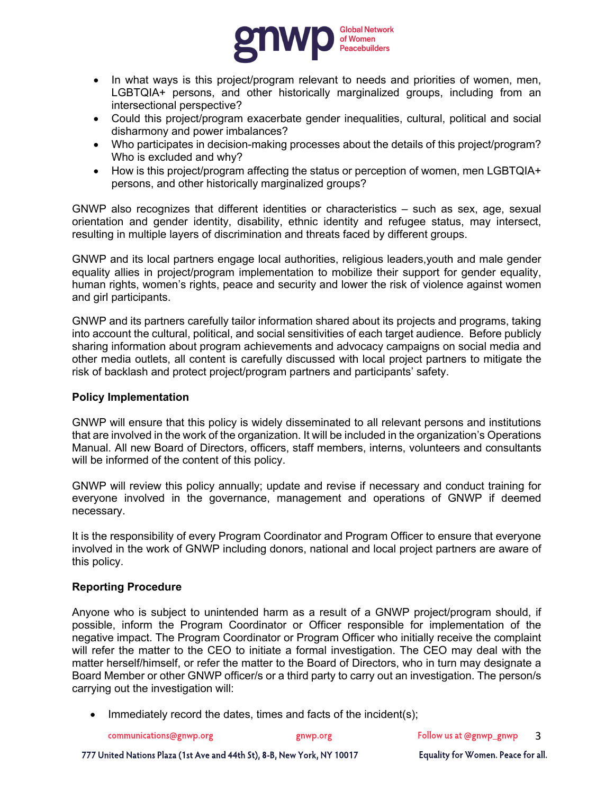

- In what ways is this project/program relevant to needs and priorities of women, men, LGBTQIA+ persons, and other historically marginalized groups, including from an intersectional perspective?
- Could this project/program exacerbate gender inequalities, cultural, political and social disharmony and power imbalances?
- Who participates in decision-making processes about the details of this project/program? Who is excluded and why?
- How is this project/program affecting the status or perception of women, men LGBTQIA+ persons, and other historically marginalized groups?

GNWP also recognizes that different identities or characteristics – such as sex, age, sexual orientation and gender identity, disability, ethnic identity and refugee status, may intersect, resulting in multiple layers of discrimination and threats faced by different groups.

GNWP and its local partners engage local authorities, religious leaders,youth and male gender equality allies in project/program implementation to mobilize their support for gender equality, human rights, women's rights, peace and security and lower the risk of violence against women and girl participants.

GNWP and its partners carefully tailor information shared about its projects and programs, taking into account the cultural, political, and social sensitivities of each target audience. Before publicly sharing information about program achievements and advocacy campaigns on social media and other media outlets, all content is carefully discussed with local project partners to mitigate the risk of backlash and protect project/program partners and participants' safety.

#### **Policy Implementation**

GNWP will ensure that this policy is widely disseminated to all relevant persons and institutions that are involved in the work of the organization. It will be included in the organization's Operations Manual. All new Board of Directors, officers, staff members, interns, volunteers and consultants will be informed of the content of this policy.

GNWP will review this policy annually; update and revise if necessary and conduct training for everyone involved in the governance, management and operations of GNWP if deemed necessary.

It is the responsibility of every Program Coordinator and Program Officer to ensure that everyone involved in the work of GNWP including donors, national and local project partners are aware of this policy.

## **Reporting Procedure**

Anyone who is subject to unintended harm as a result of a GNWP project/program should, if possible, inform the Program Coordinator or Officer responsible for implementation of the negative impact. The Program Coordinator or Program Officer who initially receive the complaint will refer the matter to the CEO to initiate a formal investigation. The CEO may deal with the matter herself/himself, or refer the matter to the Board of Directors, who in turn may designate a Board Member or other GNWP officer/s or a third party to carry out an investigation. The person/s carrying out the investigation will:

Immediately record the dates, times and facts of the incident(s);